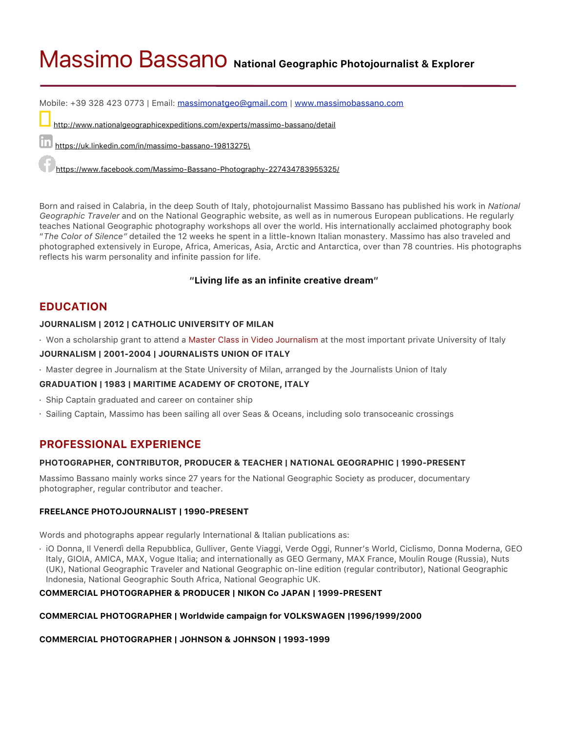# Massimo Bassano **National Geographic Photojournalist & Explorer**

Mobile: +39 328 423 0773 | Email: [massimonatgeo@gmail.com](mailto:massimonatgeo@gmail.com) | [www.massimobassano.com](http://www.massimobassano.com)

<http://www.nationalgeographicexpeditions.com/experts/massimo-bassano/detail>

[https://uk.linkedin.com/in/massimo-bassano-19813275\](https://uk.linkedin.com/in/massimo-bassano-19813275/)

<https://www.facebook.com/Massimo-Bassano-Photography-227434783955325/>

Born and raised in Calabria, in the deep South of Italy, photojournalist Massimo Bassano has published his work in *National Geographic Traveler* and on the National Geographic website, as well as in numerous European publications. He regularly teaches National Geographic photography workshops all over the world. His internationally acclaimed photography book "*The Color of Silence"* detailed the 12 weeks he spent in a little-known Italian monastery. Massimo has also traveled and photographed extensively in Europe, Africa, Americas, Asia, Arctic and Antarctica, over than 78 countries. His photographs reflects his warm personality and infinite passion for life.

## **"Living life as an infinite creative dream"**

# **EDUCATION**

#### **JOURNALISM | 2012 | CATHOLIC UNIVERSITY OF MILAN**

· Won a scholarship grant to attend a Master Class in Video Journalism at the most important private University of Italy

#### **JOURNALISM | 2001-2004 | JOURNALISTS UNION OF ITALY**

· Master degree in Journalism at the State University of Milan, arranged by the Journalists Union of Italy

## **GRADUATION | 1983 | MARITIME ACADEMY OF CROTONE, ITALY**

- · Ship Captain graduated and career on container ship
- · Sailing Captain, Massimo has been sailing all over Seas & Oceans, including solo transoceanic crossings

# **PROFESSIONAL EXPERIENCE**

## **PHOTOGRAPHER, CONTRIBUTOR, PRODUCER & TEACHER | NATIONAL GEOGRAPHIC | 1990-PRESENT**

Massimo Bassano mainly works since 27 years for the National Geographic Society as producer, documentary photographer, regular contributor and teacher.

#### **FREELANCE PHOTOJOURNALIST | 1990-PRESENT**

Words and photographs appear regularly International & Italian publications as:

· iO Donna, Il Venerdì della Repubblica, Gulliver, Gente Viaggi, Verde Oggi, Runner's World, Ciclismo, Donna Moderna, GEO Italy, GIOIA, AMICA, MAX, Vogue Italia; and internationally as GEO Germany, MAX France, Moulin Rouge (Russia), Nuts (UK), National Geographic Traveler and National Geographic on-line edition (regular contributor), National Geographic Indonesia, National Geographic South Africa, National Geographic UK.

## **COMMERCIAL PHOTOGRAPHER & PRODUCER | NIKON Co JAPAN | 1999-PRESENT**

#### **COMMERCIAL PHOTOGRAPHER | Worldwide campaign for VOLKSWAGEN |1996/1999/2000**

#### **COMMERCIAL PHOTOGRAPHER | JOHNSON & JOHNSON | 1993-1999**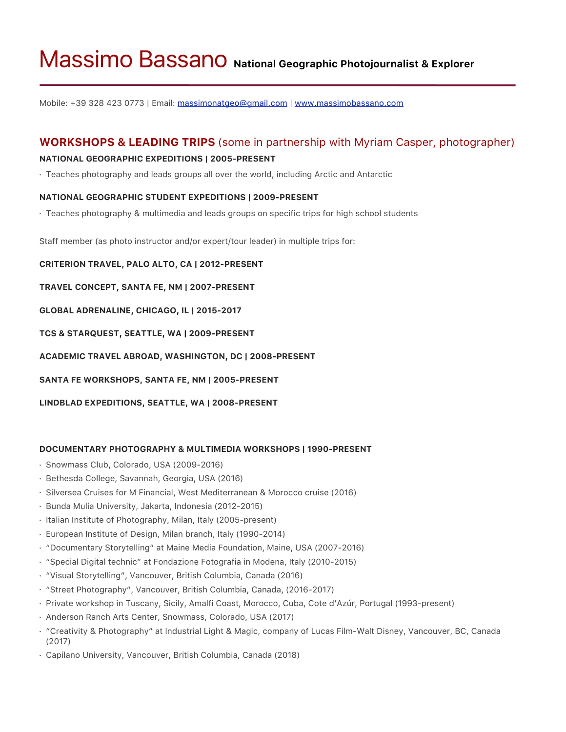# Massimo Bassano **National Geographic Photojournalist & Explorer**

Mobile: +39 328 423 0773 | Email: [massimonatgeo@gmail.com](mailto:massimonatgeo@gmail.com) | [www.massimobassano.com](http://www.massimobassano.com)

# **WORKSHOPS & LEADING TRIPS** (some in partnership with Myriam Casper, photographer)

## **NATIONAL GEOGRAPHIC EXPEDITIONS | 2005-PRESENT**

· Teaches photography and leads groups all over the world, including Arctic and Antarctic

## **NATIONAL GEOGRAPHIC STUDENT EXPEDITIONS | 2009-PRESENT**

· Teaches photography & multimedia and leads groups on specific trips for high school students

Staff member (as photo instructor and/or expert/tour leader) in multiple trips for:

## **CRITERION TRAVEL, PALO ALTO, CA | 2012-PRESENT**

**TRAVEL CONCEPT, SANTA FE, NM | 2007-PRESENT**

**GLOBAL ADRENALINE, CHICAGO, IL | 2015-2017**

**TCS & STARQUEST, SEATTLE, WA | 2009-PRESENT**

**ACADEMIC TRAVEL ABROAD, WASHINGTON, DC | 2008-PRESENT**

**SANTA FE WORKSHOPS, SANTA FE, NM | 2005-PRESENT**

**LINDBLAD EXPEDITIONS, SEATTLE, WA | 2008-PRESENT**

## **DOCUMENTARY PHOTOGRAPHY & MULTIMEDIA WORKSHOPS | 1990-PRESENT**

- · Snowmass Club, Colorado, USA (2009-2016)
- · Bethesda College, Savannah, Georgia, USA (2016)
- · Silversea Cruises for M Financial, West Mediterranean & Morocco cruise (2016)
- · Bunda Mulia University, Jakarta, Indonesia (2012-2015)
- · Italian Institute of Photography, Milan, Italy (2005-present)
- · European Institute of Design, Milan branch, Italy (1990-2014)
- · "Documentary Storytelling" at Maine Media Foundation, Maine, USA (2007-2016)
- · "Special Digital technic" at Fondazione Fotografia in Modena, Italy (2010-2015)
- · "Visual Storytelling", Vancouver, British Columbia, Canada (2016)
- · "Street Photography", Vancouver, British Columbia, Canada, (2016-2017)
- · Private workshop in Tuscany, Sicily, Amalfi Coast, Morocco, Cuba, Cote d'Azúr, Portugal (1993-present)
- · Anderson Ranch Arts Center, Snowmass, Colorado, USA (2017)
- · "Creativity & Photography" at Industrial Light & Magic, company of Lucas Film-Walt Disney, Vancouver, BC, Canada (2017)
- · Capilano University, Vancouver, British Columbia, Canada (2018)